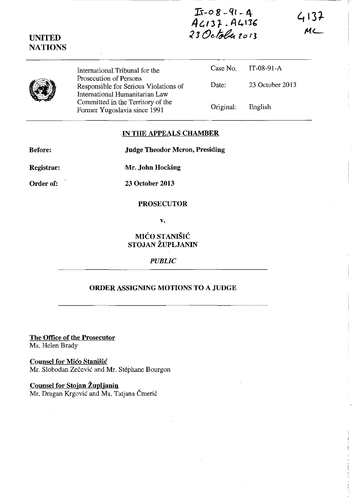**lS-o 8 -ql-I.\-** *4(./3 t* **-A4IJ'**  23 October 2013

 $4137$ ML

|--|

**UNITED NATIONS** 

> International Tribunal for the Prosecution of Persons Responsible for Serious Violations International Humanitarian Law Committed in the Territory of the Former Yugoslavia since 1991

|      |           | Case No. IT-08-91-A |
|------|-----------|---------------------|
| , of | Date:     | 23 October 2013     |
|      | Original: | English             |

## **IN THE APPEALS CHAMBER**

**Before:** 

**Judge Theodor Meron, Presiding** 

**Registrar:** 

**Mr. John Hocking** 

**Order of:** 

**23 October 2013** 

## **PROSECUTOR**

**v.** 

## **MICO STANISIC STOJAN ZUPLJANIN**

*PUBLIC* 

## **ORDER ASSIGNING MOTIONS TO A JUDGE**

**The Office of the Prosecutor**  Ms. Helen Brady

**Counsel for Mico Stanisic**  Mr. Slobodan Zečević and Mr. Stéphane Bourgon

**Counsel for Stojan Zuplianin** 

Mr. Dragan Krgović and Ms. Tatjana Čmerić